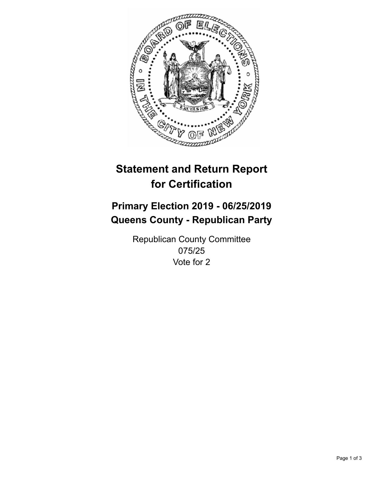

## **Statement and Return Report for Certification**

## **Primary Election 2019 - 06/25/2019 Queens County - Republican Party**

Republican County Committee 075/25 Vote for 2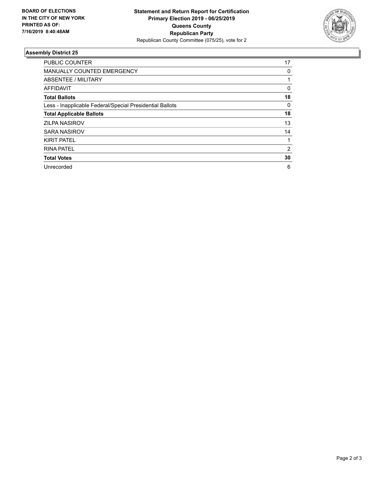

## **Assembly District 25**

| <b>PUBLIC COUNTER</b>                                    | 17       |
|----------------------------------------------------------|----------|
| MANUALLY COUNTED EMERGENCY                               | 0        |
| ABSENTEE / MILITARY                                      |          |
| AFFIDAVIT                                                | $\Omega$ |
| <b>Total Ballots</b>                                     | 18       |
| Less - Inapplicable Federal/Special Presidential Ballots | 0        |
| <b>Total Applicable Ballots</b>                          | 18       |
| <b>ZILPA NASIROV</b>                                     | 13       |
| <b>SARA NASIROV</b>                                      | 14       |
| <b>KIRIT PATEL</b>                                       |          |
| <b>RINA PATEL</b>                                        | 2        |
| <b>Total Votes</b>                                       | 30       |
| Unrecorded                                               | 6        |